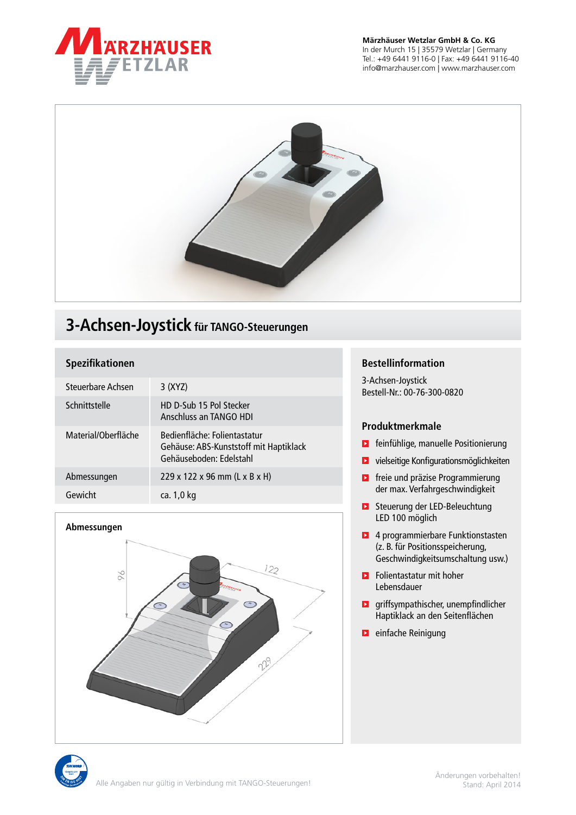

## **Märzhäuser Wetzlar GmbH & Co. KG**

In der Murch 15 | 35579 Wetzlar | Germany Tel.: +49 6441 9116-0 | Fax: +49 6441 9116-40 info@marzhauser.com | www.marzhauser.com



# **3-Achsen-Joystick für TANGO-Steuerungen**

# **Spezifikationen**

| Steuerbare Achsen   | 3(XYZ)                                                                                            |
|---------------------|---------------------------------------------------------------------------------------------------|
| Schnittstelle       | HD D-Sub 15 Pol Stecker<br>Anschluss an TANGO HDI                                                 |
| Material/Oberfläche | Bedienfläche: Folientastatur<br>Gehäuse: ABS-Kunststoff mit Haptiklack<br>Gehäuseboden: Edelstahl |
| Abmessungen         | $229 \times 122 \times 96$ mm (L x B x H)                                                         |
| Gewicht             | ca. 1,0 kg                                                                                        |

#### **Abmessungen**



## **Bestellinformation**

3-Achsen-Joystick Bestell-Nr.: 00-76-300-0820

#### **Produktmerkmale**

- **E** feinfühlige, manuelle Positionierung
- **D** vielseitige Konfigurationsmöglichkeiten
- **E** freie und präzise Programmierung der max. Verfahrgeschwindigkeit
- **E** Steuerung der LED-Beleuchtung LED 100 möglich
- **1** 4 programmierbare Funktionstasten (z. B. für Positionsspeicherung, Geschwindigkeitsumschaltung usw.)
- **Folientastatur mit hoher** Lebensdauer
- **D** griffsympathischer, unempfindlicher Haptiklack an den Seitenflächen
- **E** einfache Reinigung